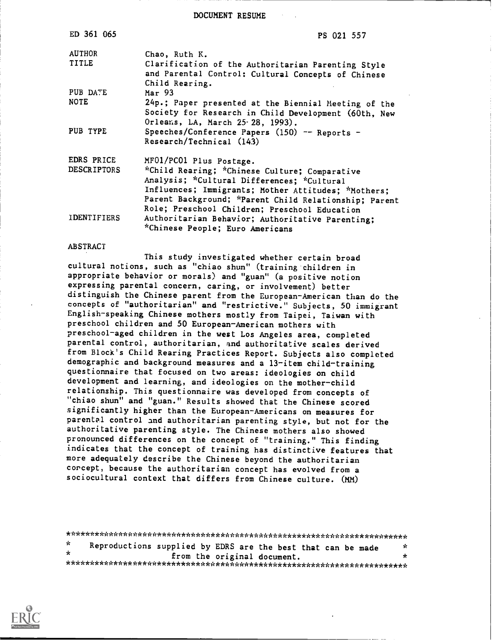DOCUMENT RESUME

1

| ED 361 065         | PS 021 557                                                                                                                                                                                                                                                   |
|--------------------|--------------------------------------------------------------------------------------------------------------------------------------------------------------------------------------------------------------------------------------------------------------|
| <b>AUTHOR</b>      | Chao, Ruth K.                                                                                                                                                                                                                                                |
| TITLE              | Clarification of the Authoritarian Parenting Style<br>and Parental Control: Cultural Concepts of Chinese<br>Child Rearing.                                                                                                                                   |
| PUB DATE           | Mar 93                                                                                                                                                                                                                                                       |
| <b>NOTE</b>        | 24p.; Paper presented at the Biennial Meeting of the<br>Society for Research in Child Development (60th, New<br>Orleans, LA, March 25.28, 1993).                                                                                                             |
| PUB TYPE           | Speeches/Conference Papers (150) -- Reports -<br>Research/Technical (143)                                                                                                                                                                                    |
| EDRS PRICE         | MF01/PC01 Plus Postage.                                                                                                                                                                                                                                      |
| <b>DESCRIPTORS</b> | *Child Rearing; *Chinese Culture; Comparative<br>Analysis; *Cultural Differences; *Cultural<br>Influences; Immigrants; Mother Attitudes; *Mothers;<br>Parent Background; *Parent Child Relationship; Parent<br>Role; Preschool Children; Preschool Education |
| <b>IDENTIFIERS</b> | Authoritarian Behavior; Authoritative Parenting;<br>*Chinese People; Euro Americans                                                                                                                                                                          |

#### ABSTRACT

This study investigated whether certain broad cultural notions, such as "chiao shun" (training children in appropriate behavior or morals) and "guan" (a positive notion expressing parental concern, caring, or involvement) better distinguish the Chinese parent from the European-American than do the concepts of "authoritarian" and "restrictive." Subjects, 50 immigrant English-speaking Chinese mothers mostly from Taipei, Taiwan with preschool children and 50 European-American mothers with preschool-aged children in the west Los Angeles area, completed parental control, authoritarian, and authoritative scales derived from Block's Child Rearing Practices Report. Subjects also completed demographic and background measures and a 13-item child-training questionnaire that focused on two areas: ideologies on child development and learning, and ideologies on the mother-child relationship. This questionnaire was developed from concepts of "chiao shun" and "guan." Results showed that the Chinese scored significantly higher than the European-Americans on measures for parental control and authoritarian parenting style, but not for the authoritative parenting style. The Chinese mothers also showed pronounced differences on the concept of "training." This finding indicates that the concept of training has distinctive features that more adequately describe the Chinese beyond the authoritarian corcept, because the authoritarian concept has evolved from a sociocultural context that differs from Chinese culture. (MM)

\*\*\*\*\*\*\*\*\*\*\*\*\*\*\*\*\*\*\*\*\*\*\*\*\*\*\*\*\*\*\*\*\*\*\*\*\*\*\*\*\*\*\*\*\*\*\*\*\*\*\*\*\*\*\*\*\*\*\*\*\*\*\*\*\*\*\*\*\*\*\* Reproductions supplied by EDRS are the best that can be made  $*$ <br>from the original document sk. from the original document. \*\*\*\*\*\*\*\*\*\*\*\*\*\*\*\*\*\*\*\*\*\*\*\*\*\*\*\*\*\*\*\*\*\*\*\*\*\*\*\*\*\*\*\*\*\*\*\*\*\*\*\*\*\*\*\*\*\*\*\*\*\*\*\*\*\*\*\*\*\*\*

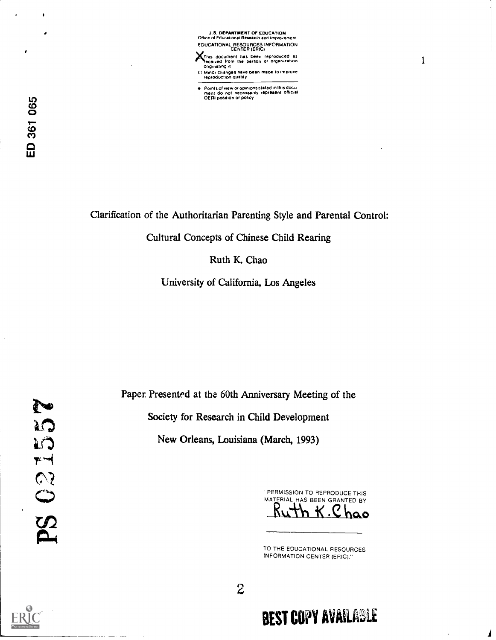U.S. DEPARTMENT OF EDUCATION Office of Educational Research and Improvement EDUCATIONAL RESOURCES INFORMATION CENTER (ERIC)

This document has been reproduced as<br>feceived from the parson or organization<br>originating it

1

- [] Minor changes have been made to improve<br>reproduction quatity
- $\bullet$ Points of view or opinions stated in this docu<br>ment: do: not: necessarily: raprasent: official<br>OERI position or policy

 $\bullet$ 

Clarification of the Authoritarian Parenting Style and Parental Control:

Cultural Concepts of Chinese Child Rearing

Ruth K. Chao

University of California, Los Angeles

Paper Presented at the 60th Anniversary Meeting of the Society for Research in Child Development New Orleans, Louisiana (March, 1993)

PERMISSION TO REPRODUCE THIS MATERIAL HAS BEEN GRANTED BY  $K.C$ hao

TO THE EDUCATIONAL RESOURCES INFORMATION CENTER (ERIC)."



2

# **BEST COPY AVAILABLE**

 $\bar{1}$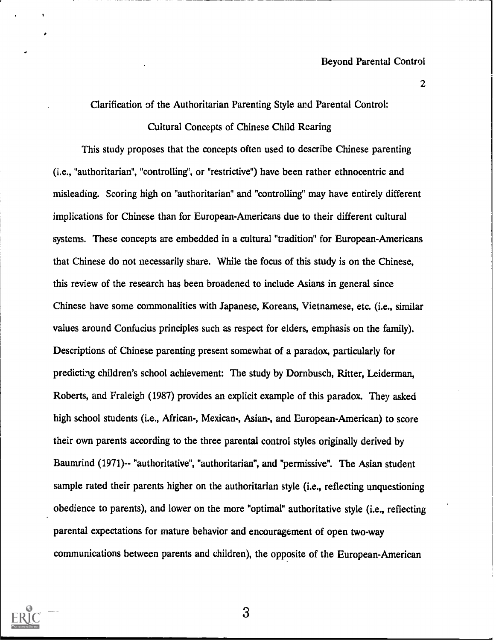2

Clarification of the Authoritarian Parenting Style and Parental Control:

Cultural Concepts of Chinese Child Rearing

This study proposes that the concepts often used to describe Chinese parenting (i.e., "authoritarian", "controlling", or "restrictive") have been rather ethnocentric and misleading. Scoring high on "authoritarian" and "controlling" may have entirely different implications for Chinese than for European-Americans due to their different cultural systems. These concepts are embedded in a cultural "tradition" for European-Americans that Chinese do not necessarily share. While the focus of this study is on the Chinese, this review of the research has been broadened to include Asians in general since Chinese have some commonalities with Japanese, Koreans, Vietnamese, etc. (i.e., similar values around Confucius principles such as respect for elders, emphasis on the family). Descriptions of Chinese parenting present somewhat of a paradox, particularly for predicting children's school achievement: The study by Dornbusch, Ritter, Leiderman, Roberts, and Fraleigh (1987) provides an explicit example of this paradox. They asked high school students (i.e., African-, Mexican-, Asian-, and European-American) to score their own parents according to the three parental control styles originally derived by Baumrind (1971)-- "authoritative", "authoritarian", and "permissive". The Asian student sample rated their parents higher on the authoritarian style (i.e., reflecting unquestioning obedience to parents), and lower on the more "optimal" authoritative style (i.e., reflecting parental expectations for mature behavior and encouragement of open two-way communications between parents and children), the opposite of the European-American

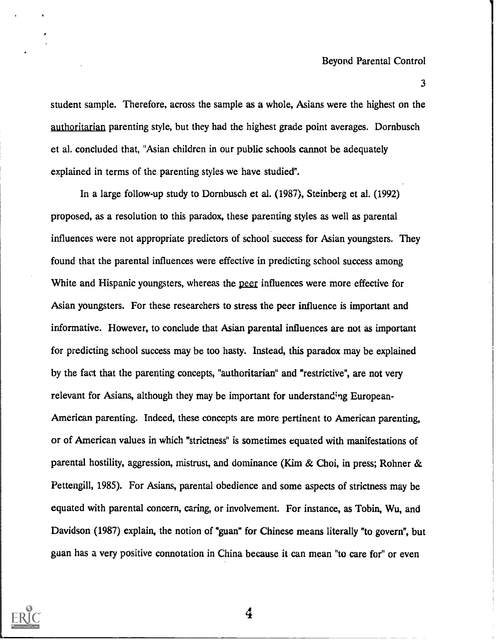student sample. Therefore, across the sample as a whole, Asians were the highest on the authoritarian parenting style, but they had the highest grade point averages. Dornbusch et al. concluded that, "Asian children in our public schools cannot be adequately explained in terms of the parenting styles we have studied".

In a large follow-up study to Dornbusch et al. (1987), Steinberg et al. (1992) proposed, as a resolution to this paradox, these parenting styles as well as parental influences were not appropriate predictors of school success for Asian youngsters. They found that the parental influences were effective in predicting school success among White and Hispanic youngsters, whereas the peer influences were more effective for Asian youngsters. For these researchers to stress the peer influence is important and informative. However, to conclude that Asian parental influences are not as important for predicting school success may be too hasty. Instead, this paradox may be explained by the fact that the parenting concepts, "authoritarian" and "restrictive", are not very relevant for Asians, although they may be important for understanding European-American parenting. Indeed, these concepts are more pertinent to American parenting, or of American values in which "strictness" is sometimes equated with manifestations of parental hostility, aggression, mistrust, and dominance (Kim & Choi, in press; Rohner & Pettengill, 1985). For Asians, parental obedience and some aspects of strictness may be equated with parental concern, caring, or involvement. For instance, as Tobin, Wu, and Davidson (1987) explain, the notion of "guan" for Chinese means literally "to govern", but guan has a very positive connotation in China because it can mean "to care for" or even

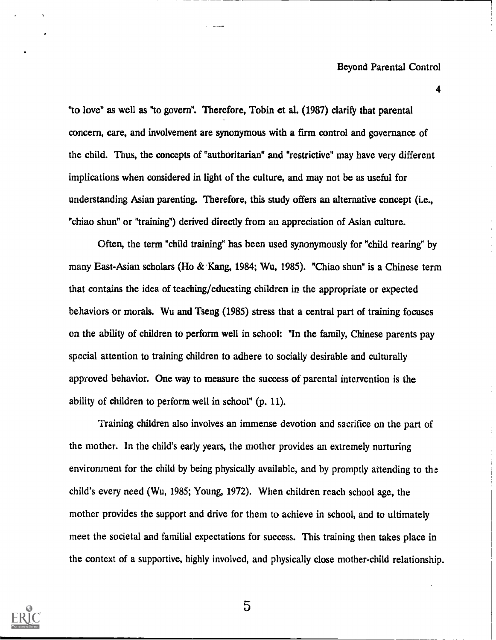4

"to love" as well as "to govern". Therefore, Tobin et al. (1987) clarify that parental concern, care, and involvement are synonymous with a firm control and governance of the child. Thus, the concepts of "authoritarian" and "restrictive" may have very different implications when considered in light of the culture, and may not be as useful for understanding Asian parenting. Therefore, this study offers an alternative concept (i.e., "chiao shun" or "training") derived directly from an appreciation of Asian culture.

Often, the term "child training" has been used synonymously for "child rearing" by many East-Asian scholars (Ho & Kang, 1984; Wu, 1985). "Chiao shun" is a Chinese term that contains the idea of teaching/educating children in the appropriate or expected behaviors or morals. Wu and Tseng (1985) stress that a central part of training focuses on the ability of children to perform well in school: "In the family, Chinese parents pay special attention to training children to adhere to socially desirable and culturally approved behavior. One way to measure the success of parental intervention is the ability of children to perform well in school" (p. 11).

Training children also involves an immense devotion and sacrifice on the part of the mother. In the child's early years, the mother provides an extremely nurturing environment for the child by being physically available, and by promptly attending to the child's every need (Wu, 1985; Young, 1972). When children reach school age, the mother provides the support and drive for them to achieve in school, and to ultimately meet the societal and familial expectations for success. This training then takes place in the context of a supportive, highly involved, and physically close mother-child relationship.

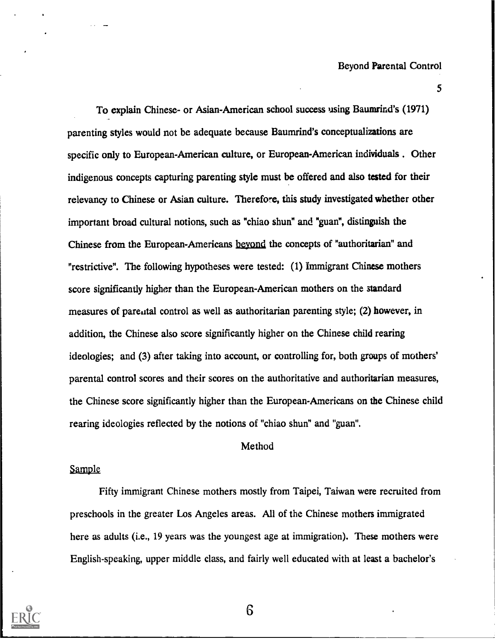5

To explain Chinese- or Asian-American school success using Baumrind's (1971) parenting styles would not be adequate because Baumrind's conceptualizations are specific only to European-American culture, or European-American individuals . Other indigenous concepts capturing parenting style must be offered and also tested for their relevancy to Chinese or Asian culture. Therefore, this study investigated whether other important broad cultural notions, such as "chiao shun" and "guan", distinguish the Chinese from the European-Americans beyond the concepts of "authoritarian" and "restrictive". The following hypotheses were tested: (1) Immigrant Chinese mothers score significantly higher than the European-American mothers on the standard measures of parental control as well as authoritarian parenting style; (2) however, in addition, the Chinese also score significantly higher on the Chinese child rearing ideologies; and (3) after taking into account, or controlling for, both groups of mothers' parental control scores and their scores on the authoritative and authoritarian measures, the Chinese score significantly higher than the European-Americans on the Chinese child rearing ideologies reflected by the notions of "chiao shun" and "guan".

#### Method

#### Sample

Fifty immigrant Chinese mothers mostly from Taipei, Taiwan were recruited from preschools in the greater Los Angeles areas. All of the Chinese mothers immigrated here as adults (i.e., 19 years was the youngest age at immigration). These mothers were English-speaking, upper middle class, and fairly well educated with at least a bachelor's

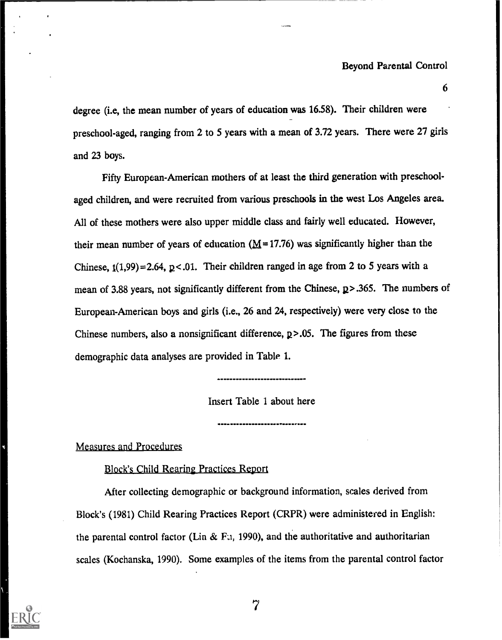$\mathbf{6}$ 

degree (i.e, the mean number of years of education was 16.58). Their children were preschool-aged, ranging from 2 to 5 years with a mean of 3.72 years. There were 27 girls and 23 boys.

Fifty European-American mothers of at least the third generation with preschoolaged children, and were recruited from various preschools in the west Los Angeles area. All of these mothers were also upper middle class and fairly well educated. However, their mean number of years of education  $(M=17.76)$  was significantly higher than the Chinese,  $t(1,99) = 2.64$ ,  $p < 0.01$ . Their children ranged in age from 2 to 5 years with a mean of 3.88 years, not significantly different from the Chinese,  $p > .365$ . The numbers of European-American boys and girls (i.e., 26 and 24, respectively) were very close to the Chinese numbers, also a nonsignificant difference, p>.05. The figures from these demographic data analyses are provided in Table 1.

Insert Table 1 about here

Measures and Procedures

Block's Child Rearing Practices Report

After collecting demographic or background information, scales derived from Block's (1981) Child Rearing Practices Report (CRPR) were administered in English: the parental control factor (Lin & F.1, 1990), and the authoritative and authoritarian scales (Kochanska, 1990). Some examples of the items from the parental control factor

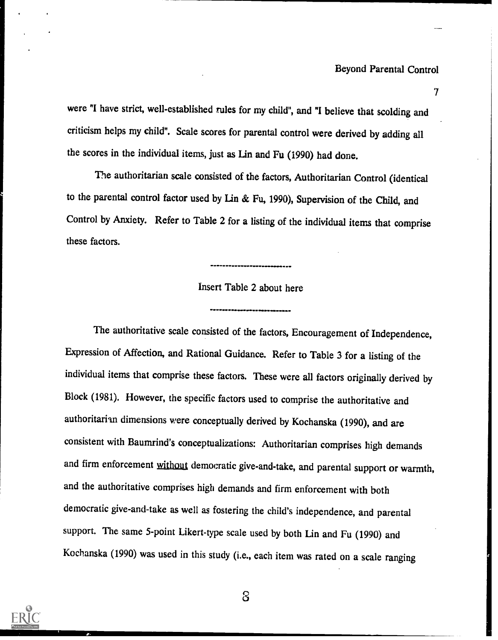$T_{\rm{max}}$ 

were "I have strict, well-established rules for my child", and "I believe that scolding and criticism helps my child". Scale scores for parental control were derived by adding all the scores in the individual items, just as Lin and Fu (1990) had done.

The authoritarian scale consisted of the factors, Authoritarian Control (identical to the parental control factor used by Lin & Fu, 1990), Supervision of the Child, and Control by Anxiety. Refer to Table 2 for a listing of the individual items that comprise these factors.

## Insert Table 2 about here

....... MNIPM11111.M.M..0.111...111.

.....IMIIII41,

The authoritative scale consisted of the factors, Encouragement of Independence, Expression of Affection, and Rational Guidance. Refer to Table 3 for a listing of the individual items that comprise these factors. These were all factors originally derived by Block (1981). However, the specific factors used to comprise the authoritative and authoritarian dimensions were conceptually derived by Kochanska (1990), and are consistent with Baumrind's conceptualizations: Authoritarian comprises high demands and firm enforcement without democratic give-and-take, and parental support or warmth, and the authoritative comprises high demands and firm enforcement with both democratic give-and-take as well as fostering the child's independence, and parental support. The same 5-point Likert-type scale used by both Lin and Fu (1990) and Kochanska (1990) was used in this study (i.e., each item was rated on a scale ranging

![](_page_7_Picture_5.jpeg)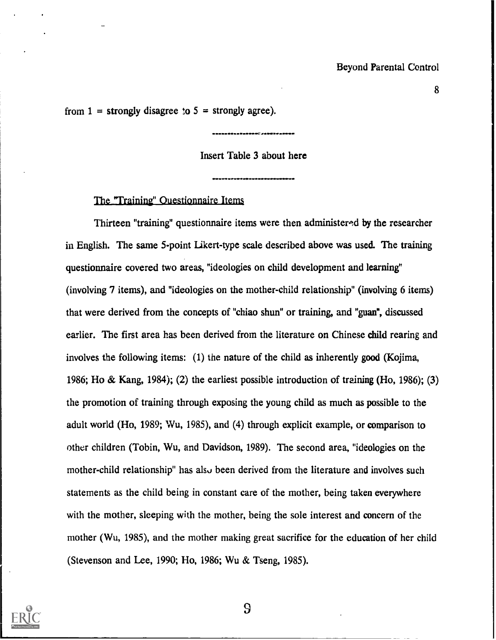from  $1 =$  strongly disagree to  $5 =$  strongly agree).

Insert Table 3 about here

011.011111.11111.1400141MINFO.

The "Training" Questionnaire Items

Thirteen "training" questionnaire items were then administemd by the researcher in English. The same 5-point Likert-type scale described above was used. The training questionnaire covered two areas, "ideologies on child development and learning" (involving 7 items), and "ideologies on the mother-child relationship" (involving 6 items) that were derived from the concepts of "chiao shun" or training, and "guan", discussed earlier. The first area has been derived from the literature on Chinese child rearing and involves the following items: (1) the nature of the child as inherently good (Kojima, 1986; Ho & Kang, 1984); (2) the earliest possible introduction of training (Ho, 1986); (3) the promotion of training through exposing the young child as much as possible to the adult world (Ho, 1989; Wu, 1985), and (4) through explicit example, or comparison to other children (Tobin, Wu, and Davidson, 1989). The second area, "ideologies on the mother-child relationship" has also been derived from the literature and involves such statements as the child being in constant care of the mother, being taken everywhere with the mother, sleeping with the mother, being the sole interest and concern of the mother (Wu, 1985), and the mother making great sacrifice for the education of her child (Stevenson and Lee, 1990; Ho, 1986; Wu & Tseng, 1985).

![](_page_8_Picture_5.jpeg)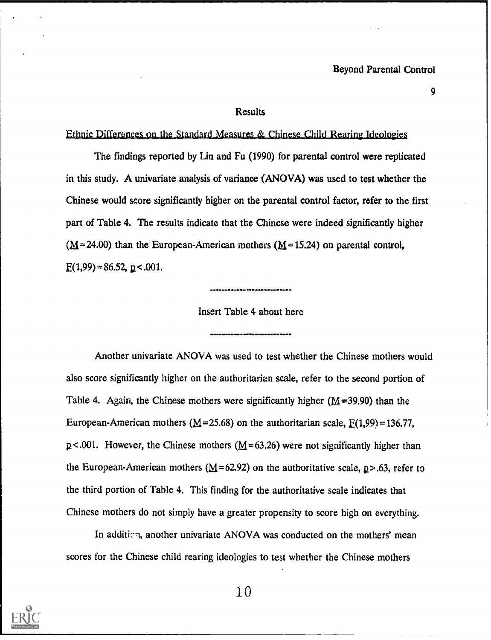9

#### **Results**

#### Ethnic Differences on the Standard Measures & Chinese Child Rearing Ideologies

The findings reported by Lin and Fu (1990) for parental control were replicated in this study. A univariate analysis of variance (ANOVA) was used to test whether the Chinese would score significantly higher on the parental control factor, refer to the first part of Table 4. The results indicate that the Chinese were indeed significantly higher  $(M=24.00)$  than the European-American mothers  $(M=15.24)$  on parental control,  $E(1,99) = 86.52$ ,  $p < .001$ .

11.101INPO14.111

Insert Table 4 about here

Another univariate ANOVA was used to test whether the Chinese mothers would also score significantly higher on the authoritarian scale, refer to the second portion of Table 4. Again, the Chinese mothers were significantly higher ( $M=39.90$ ) than the European-American mothers ( $M = 25.68$ ) on the authoritarian scale,  $E(1,99) = 136.77$ ,  $p$ <.001. However, the Chinese mothers (M=63.26) were not significantly higher than the European-American mothers ( $M=62.92$ ) on the authoritative scale, p > .63, refer to the third portion of Table 4. This finding for the authoritative scale indicates that Chinese mothers do not simply have a greater propensity to score high on everything.

In addition, another univariate ANOVA was conducted on the mothers' mean scores for the Chinese child rearing ideologies to test whether the Chinese mothers

![](_page_9_Picture_8.jpeg)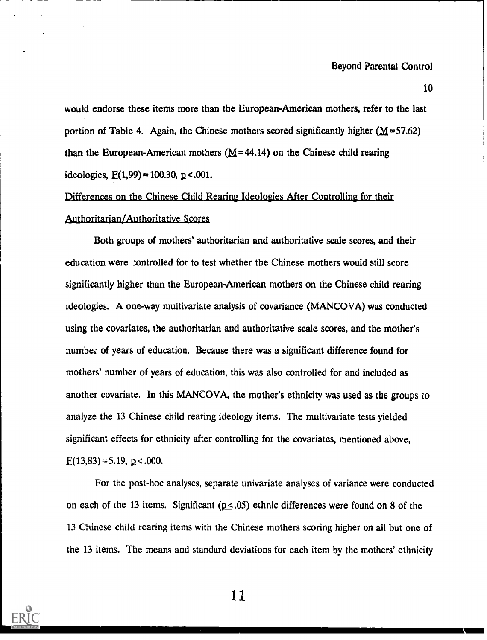10

would endorse these items more than the European-American mothers, refer to the last portion of Table 4. Again, the Chinese mothers scored significantly higher  $(M=57.62)$ than the European-American mothers ( $M=44.14$ ) on the Chinese child rearing ideologies,  $F(1,99) = 100.30$ ,  $p < .001$ .

## Differences on the Chinese Child Rearing Ideologies After Controlling for their Authoritarian/Authoritative Scores

Both groups of mothers' authoritarian and authoritative scale scores, and their education were controlled for to test whether the Chinese mothers would still score significantly higher than the European-American mothers on the Chinese child rearing ideologies. A one-way multivariate analysis of covariance (MANCOVA) was conducted using the covariates, the authoritarian and authoritative scale scores, and the mother's number of years of education. Because there was a significant difference found for mothers' number of years of education, this was also controlled for and included as another covariate. In this MANCOVA, the mother's ethnicity was used as the groups to analyze the 13 Chinese child rearing ideology items. The multivariate tests yielded significant effects for ethnicity after controlling for the covariates, mentioned above,  $E(13,83) = 5.19$ ,  $p < .000$ .

For the post-hoc analyses, separate univariate analyses of variance were conducted on each of the 13 items. Significant ( $p \leq .05$ ) ethnic differences were found on 8 of the 13 Chinese child rearing items with the Chinese mothers scoring higher on all but one of the 13 items. The means and standard deviations for each item by the mothers' ethnicity

![](_page_10_Picture_6.jpeg)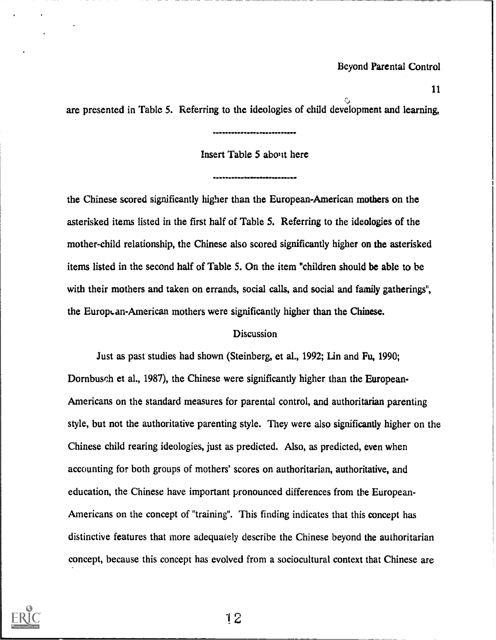are presented in Table 5. Referring to the ideologies of child development and learning,

-----------------------------

## Insert Table 5 about here

the Chinese scored significantly higher than the European-American mothers on the asterisked items listed in the first half of Table 5. Referring to the ideologies of the mother-child relationship, the Chinese also scored significantly higher on the asterisked items listed in the second half of Table 5. On the item "children should be able to be with their mothers and taken on errands, social calls, and social and family gatherings", the European-American mothers were significantly higher than the Chinese.

#### **Discussion**

Just as past studies had shown (Steinberg, et al., 1992; Lin and Fu, 1990; Dornbusch et al., 1987), the Chinese were significantly higher than the European-Americans on the standard measures for parental control, and authoritarian parenting style, but not the authoritative parenting style. They were also significantly higher on the Chinese child rearing ideologies, just as predicted. Also, as predicted, even when accounting for both groups of mothers' scores on authoritarian, authoritative, and education, the Chinese have important pronounced differences from the European-Americans on the concept of "training". This finding indicates that this concept has distinctive features that more adequately describe the Chinese beyond the authoritarian concept, because this concept has evolved from a sociocultural context that Chinese are

![](_page_11_Picture_7.jpeg)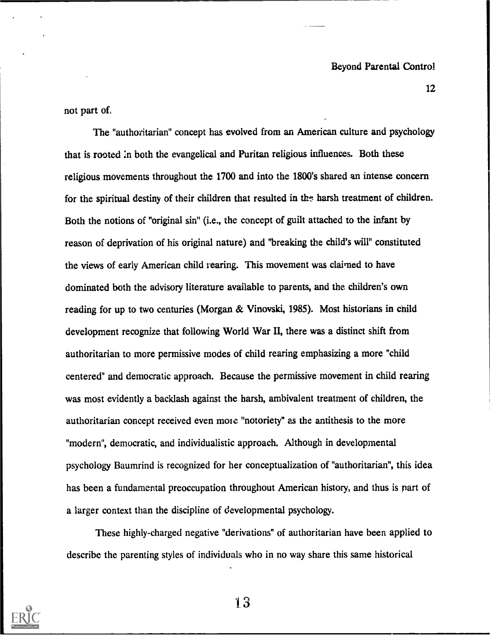not part of.

The "authoritarian" concept has evolved from an American culture and psychology that is rooted :n both the evangelical and Puritan religious influences. Both these religious movements throughout the 1700 and into the 1800's shared an intense concern for the spiritual destiny of their children that resulted in the harsh treatment of children. Both the notions of "original sin" (i.e., the concept of guilt attached to the infant by reason of deprivation of his original nature) and "breaking the child's will" constituted the views of early American child rearing. This movement was claimed to have dominated both the advisory literature available to parents, and the children's own reading for up to two centuries (Morgan & Vinovski, 1985). Most historians in child development recognize that following World War II, there was a distinct shift from authoritarian to more permissive modes of child rearing emphasizing a more "child centered" and democratic approach. Because the permissive movement in child rearing was most evidently a backlash against the harsh, ambivalent treatment of children, the authoritarian concept received even more "notoriety" as the antithesis to the more "modern", democratic, and individualistic approach. Although in developmental psychology Baumrind is recognized for her conceptualization of "authoritarian", this idea has been a fundamental preoccupation throughout American history, and thus is part of a larger context than the discipline of developmental psychology.

These highly-charged negative "derivations" of authoritarian have been applied to describe the parenting styles of individuals who in no way share this same historical

![](_page_12_Picture_4.jpeg)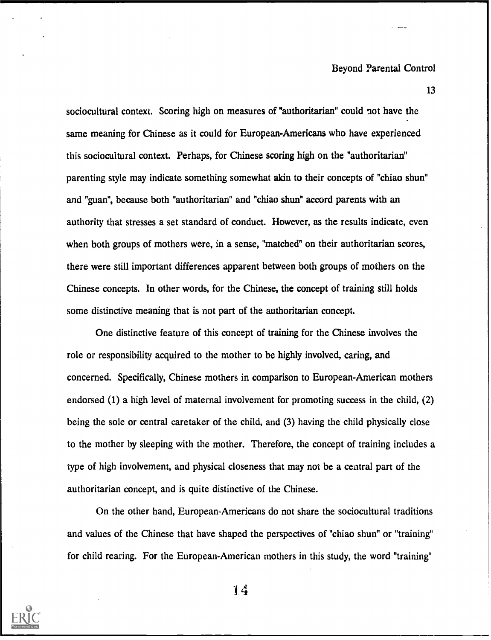13

sociocultural context. Scoring high on measures of "authoritarian" could not have the same meaning for Chinese as it could for European-Americans who have experienced this sociocultural context. Perhaps, for Chinese scoring high on the "authoritarian" parenting style may indicate something somewhat akin to their concepts of "chiao shun" and "guan", because both "authoritarian" and "chiao shun" accord parents with an authority that stresses a set standard of conduct. However, as the results indicate, even when both groups of mothers were, in a sense, "matched" on their authoritarian scores, there were still important differences apparent between both groups of mothers on the Chinese concepts. In other words, for the Chinese, the concept of training still holds some distinctive meaning that is not part of the authoritarian concept.

One distinctive feature of this concept of training for the Chinese involves the role or responsibility acquired to the mother to be highly involved, caring, and concerned. Specifically, Chinese mothers in comparison to European-American mothers endorsed (1) a high level of maternal involvement for promoting success in the child, (2) being the sole or central caretaker of the child, and (3) having the child physically close to the mother by sleeping with the mother. Therefore, the concept of training includes a type of high involvement, and physical closeness that may not be a central part of the authoritarian concept, and is quite distinctive of the Chinese.

On the other hand, European-Americans do not share the sociocultural traditions and values of the Chinese that have shaped the perspectives of "chiao shun" or "training" for child rearing. For the European-American mothers in this study, the word "training"

![](_page_13_Picture_5.jpeg)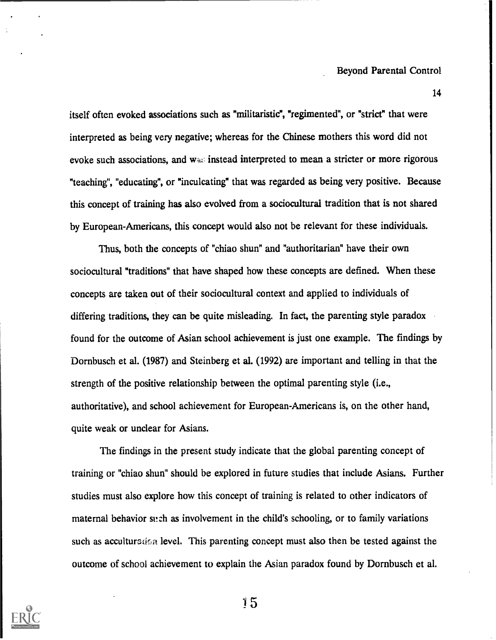itself often evoked associations such as "militaristic", "regimented", or "strict" that were interpreted as being very negative; whereas for the Chinese mothers this word did not evoke such associations, and  $w$ <sup>2</sup> instead interpreted to mean a stricter or more rigorous "teaching", "educating", or "inculcating" that was regarded as being very positive. Because this concept of training has also evolved from a sociocultural tradition that is not shared by European-Americans, this concept would also not be relevant for these individuals.

Thus, both the concepts of "chiao shun" and "authoritarian" have their own sociocultural "traditions" that have shaped how these concepts are defined. When these concepts are taken out of their sociocultural context and applied to individuals of differing traditions, they can be quite misleading. In fact, the parenting style paradox found for the outcome of Asian school achievement is just one example. The findings by Dornbusch et al. (1987) and Steinberg et al. (1992) are important and telling in that the strength of the positive relationship between the optimal parenting style (i.e., authoritative), and school achievement for European-Americans is, on the other hand, quite weak or unclear for Asians.

The findings in the present study indicate that the global parenting concept of training or "chiao shun" should be explored in future studies that include Asians. Further studies must also explore how this concept of training is related to other indicators of maternal behavior such as involvement in the child's schooling, or to family variations such as accultured: a level. This parenting concept must also then be tested against the outcome of school achievement to explain the Asian paradox found by Dornbusch et al.

![](_page_14_Picture_4.jpeg)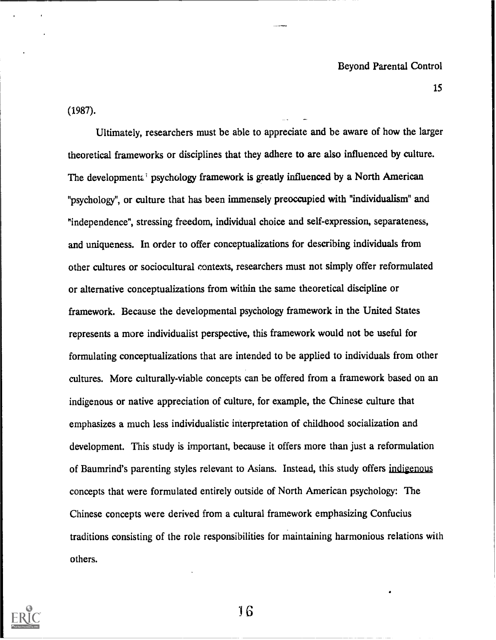(1987).

Ultimately, researchers must be able to appreciate and be aware of how the larger theoretical frameworks or disciplines that they adhere to are also influenced by culture. The developmenta<sup> $\mathbf{r}$ </sup> psychology framework is greatly influenced by a North American "psychology", or culture that has been immensely preoccupied with "individualism" and "independence", stressing freedom, individual choice and self-expression, separateness, and uniqueness. In order to offer conceptualizations for describing individuals from other cultures or sociocultural contexts, researchers must not simply offer reformulated or alternative conceptualizations from within the same theoretical discipline or framework. Because the developmental psychology framework in the United States represents a more individualist perspective, this framework would not be useful for formulating conceptualizations that are intended to be applied to individuals from other cultures. More culturally-viable concepts can be offered from a framework based on an indigenous or native appreciation of culture, for example, the Chinese culture that emphasizes a much less individualistic interpretation of childhood socialization and development. This study is important, because it offers more than just a reformulation of Baumrind's parenting styles relevant to Asians. Instead, this study offers indigenous concepts that were formulated entirely outside of North American psychology: The Chinese concepts were derived from a cultural framework emphasizing Confucius traditions consisting of the role responsibilities for maintaining harmonious relations with others.

![](_page_15_Picture_3.jpeg)

)6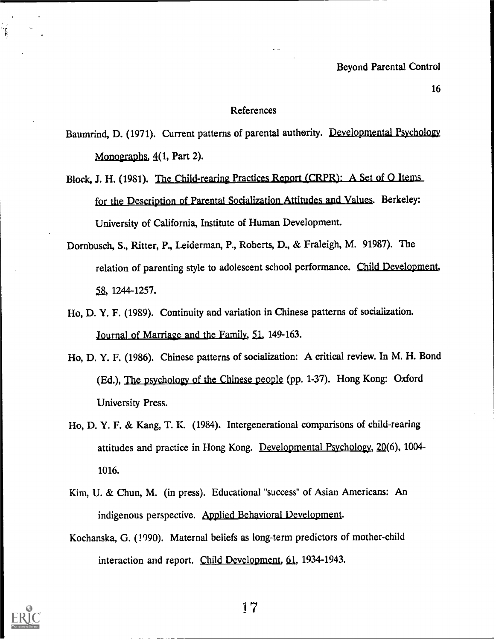#### References

Baumrind, D. (1971). Current patterns of parental authority. Developmental Psychology Monographs,  $4(1, Part 2)$ .

- Block, J. H. (1981). The Child-rearing Practices Report (CRPR): A Set of Q Items for the Description of Parental Socialization Attitudes and Values. Berkeley: University of California, Institute of Human Development.
- Dornbusch, S., Ritter, P., Leiderman, P., Roberts, D., & Fraleigh, M. 91987). The relation of parenting style to adolescent school performance. Child Development, 58, 1244-1257.
- Ho, D. Y. F. (1989). Continuity and variation in Chinese patterns of socialization. Journal of Marriage and the Family, 51, 149-163.
- Ho, D. Y. F. (1986). Chinese patterns of socialization: A critical review. In M. H. Bond (Ed.), The psychology of the Chinese people (pp. 1-37). Hong Kong: Oxford University Press.
- Ho, D. Y. F. & Kang, T. K. (1984). Intergenerational comparisons of child-rearing attitudes and practice in Hong Kong. Developmental Psychology, 2Q(6), 1004- 1016.
- Kim, U. & Chun, M. (in press). Educational "success" of Asian Americans: An indigenous perspective. Applied Behavioral Development.
- Kochanska, G. (1990). Maternal beliefs as long-term predictors of mother-child interaction and report. Child Development, 61, 1934-1943.

![](_page_16_Picture_10.jpeg)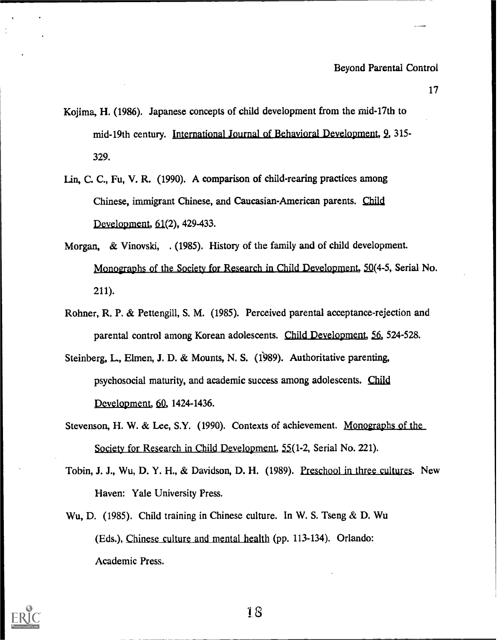- Kojima, H. (1986). Japanese concepts of child development from the rnid-17th to mid-19th century. International Journal of Behavioral Development, 2, 315- 329.
- Lin, C. C., Fu, V. R. (1990). A comparison of child-rearing practices among Chinese, immigrant Chinese, and Caucasian-American parents. Child Development,  $61(2)$ , 429-433.
- Morgan, & Vinovski, . (1985). History of the family and of child development. Monographs of the Society for Research in Child Development, 50(4-5, Serial No. 211).
- Rohner, R. P. & Pettengill, S. M. (1985). Perceived parental acceptance-rejection and parental control among Korean adolescents. Child Development, 56, 524-528.
- Steinberg, L, Elmen, J. D. & Mounts, N. S. (1989). Authoritative parenting, psychosocial maturity, and academic success among adolescents. Child Development, 60, 1424-1436.
- Stevenson, H. W. & Lee, S.Y. (1990). Contexts of achievement. Monographs of the Society for Research in Child Development, 55(1-2, Serial No. 221).
- Tobin, J. J., Wu, D. Y. H., & Davidson, D. H. (1989). Preschool in three cultures. New Haven: Yale University Press.
- Wu, D. (1985). Child training in Chinese culture. In W. S. Tseng & D. Wu (Eds.), Chinese culture and mental health (pp. 113-134). Orlando: Academic Press.

![](_page_17_Picture_10.jpeg)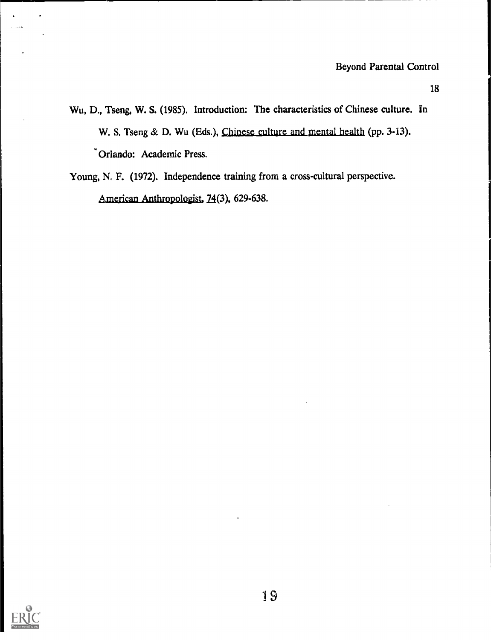- Wu, D., Tseng, W. S. (1985). Introduction: The characteristics of Chinese culture. In W. S. Tseng & D. Wu (Eds.), Chinese culture and mental health (pp. 3-13). Orlando: Academic Press.
- Young, N. F. (1972). Independence training from a cross-cultural perspective. American Anthropologist, 24(3), 629-638.

![](_page_18_Picture_4.jpeg)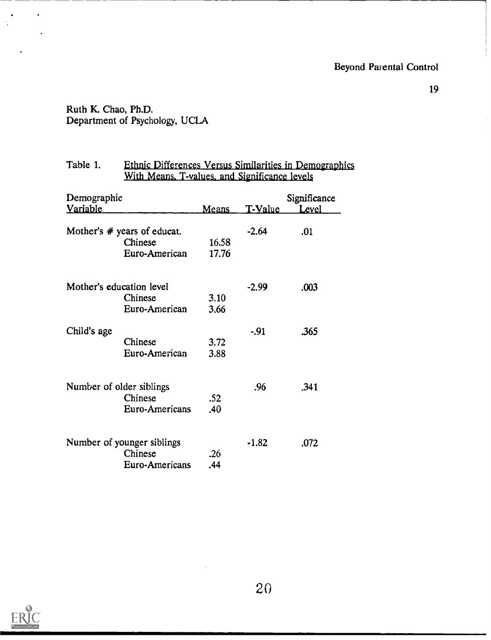## Ruth K. Chao, Ph.D. Department of Psychology, UCLA

| Table 1.                       |                          | <b>Ethnic Differences Versus Similarities in Demographics</b><br>With Means, T-values, and Significance levels |         |                       |  |  |  |
|--------------------------------|--------------------------|----------------------------------------------------------------------------------------------------------------|---------|-----------------------|--|--|--|
| Demographic<br><b>Variable</b> |                          | Means                                                                                                          | T-Value | Significance<br>Level |  |  |  |
|                                |                          |                                                                                                                |         |                       |  |  |  |
| Mother's $#$ years of educat.  |                          |                                                                                                                | $-2.64$ | .01                   |  |  |  |
|                                | Chinese                  | 16.58                                                                                                          |         |                       |  |  |  |
|                                | Euro-American            | 17.76                                                                                                          |         |                       |  |  |  |
|                                | Mother's education level |                                                                                                                | -2.99   | .003                  |  |  |  |
|                                | Chinese                  | 3.10                                                                                                           |         |                       |  |  |  |
|                                | Euro-American            | 3.66                                                                                                           |         |                       |  |  |  |
| Child's age                    |                          |                                                                                                                | $-.91$  | .365                  |  |  |  |
|                                | Chinese                  | 3.72                                                                                                           |         |                       |  |  |  |
|                                | Euro-American            | 3.88                                                                                                           |         |                       |  |  |  |
|                                | Number of older siblings |                                                                                                                | .96     | .341                  |  |  |  |
|                                | Chinese                  | .52                                                                                                            |         |                       |  |  |  |
|                                | Euro-Americans           | .40                                                                                                            |         |                       |  |  |  |
|                                |                          |                                                                                                                |         |                       |  |  |  |
| Number of younger siblings     |                          |                                                                                                                | $-1.82$ | .072                  |  |  |  |
|                                | Chinese                  | .26                                                                                                            |         |                       |  |  |  |
|                                | Euro-Americans           | .44                                                                                                            |         |                       |  |  |  |
|                                |                          |                                                                                                                |         |                       |  |  |  |

![](_page_19_Picture_4.jpeg)

 $\cdot$ 

 $\frac{1}{2}$ 

 $\ddot{\phantom{0}}$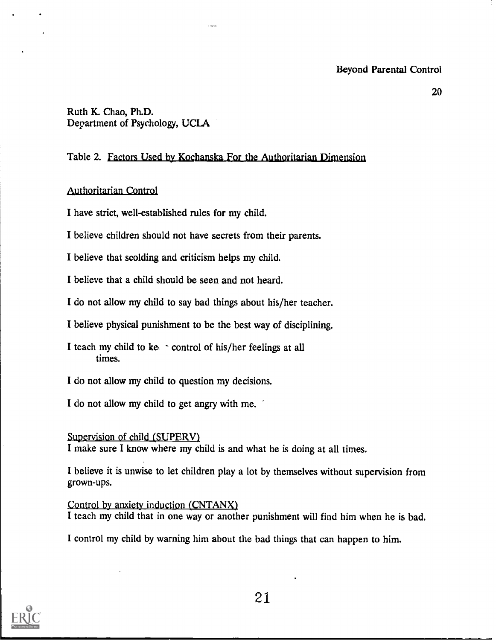20

Ruth K. Chao, Ph.D. Department of Psychology, UCLA

## Table 2. Factors Used by Kochanska For the Authoritarian Dimension

## Anthoritarian Control

I have strict, well-established rules for my child.

I believe children should not have secrets from their parents.

I believe that scolding and criticism helps my child.

I believe that a child should be seen and not heard.

I do not allow my child to say bad things about his/her teacher.

I believe physical punishment to be the best way of disciplining.

I teach my child to ke  $\sim$  control of his/her feelings at all times.

I do not allow my child to question my decisions.

I do not allow my child to get angry with me.

Supervision of child (SUPERV)

I make sure I know where my child is and what he is doing at all times.

I believe it is unwise to let children play a lot by themselves without supervision from grown-ups.

Control by anxiety induction (CNTANX) I teach my child that in one way or another punishment will find him when he is bad.

I control my child by warning him about the bad things that can happen to him.

![](_page_20_Picture_19.jpeg)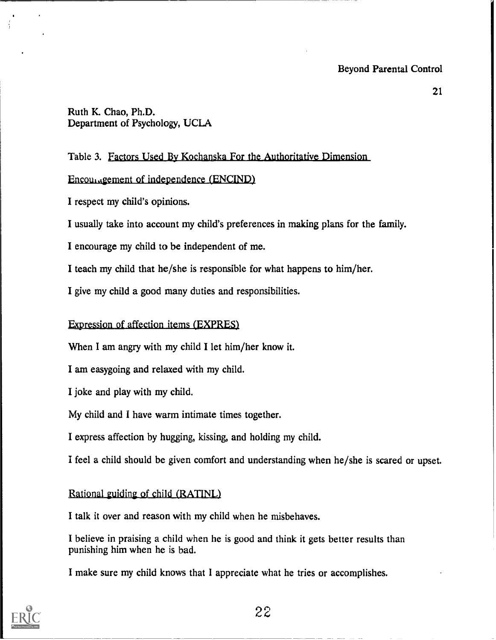## Ruth K. Chao, Ph.D. Department of Psychology, UCLA

## Table 3. Factors Used By Kochanska For the Authoritative Dimension

### Encouragement of independence (ENCIND)

I respect my child's opinions.

I usually take into account my child's preferences in making plans for the family.

I encourage my child to be independent of me.

I teach my child that he/she is responsible for what happens to him/her.

I give my child a good many duties and responsibilities.

## Expression of affection items (EXPRES)

When I am angry with my child I let him/her know it.

I am easygoing and relaxed with my child.

I joke and play with my child.

My child and I have warm intimate times together.

I express affection by hugging, kissing, and holding my child.

I feel a child should be given comfort and understanding when he/she is scared or upset.

Rational guiding of child (RATINL)

I talk it over and reason with my child when he misbehaves.

I believe in praising a child when he is good and think it gets better results than punishing him when he is bad.

I make sure my child knows that I appreciate what he tries or accomplishes.

![](_page_21_Picture_20.jpeg)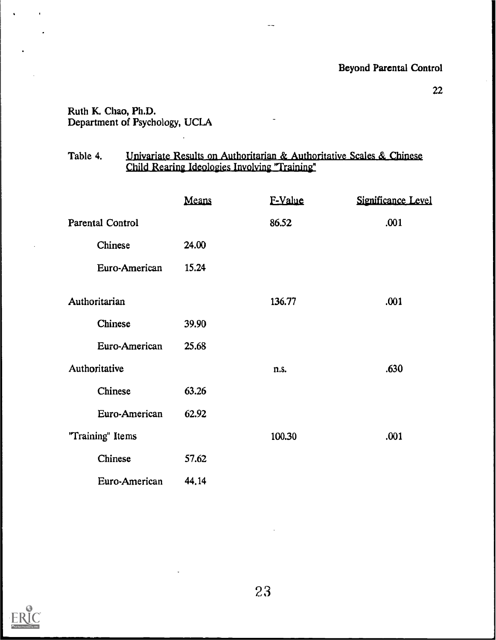## Ruth K. Chao, Ph.D. Department of Psychology, UCLA

 $\ddot{\phantom{a}}$ 

#### Table 4. Univariate Results on Authoritarian & Authoritative Scales & Chinese Child Rearing Ideologies Involving "Training"

|                         | Means | F-Value | Significance Level |
|-------------------------|-------|---------|--------------------|
| <b>Parental Control</b> |       | 86.52   | .001               |
| Chinese                 | 24.00 |         |                    |
| Euro-American           | 15.24 |         |                    |
| Authoritarian           |       | 136.77  | .001               |
| Chinese                 | 39.90 |         |                    |
| Euro-American           | 25.68 |         |                    |
| Authoritative           |       | n.s.    | .630               |
| Chinese                 | 63.26 |         |                    |
| Euro-American           | 62.92 |         |                    |
| "Training" Items        |       | 100.30  | .001               |
| Chinese                 | 57.62 |         |                    |
| Euro-American           | 44.14 |         |                    |

![](_page_22_Picture_5.jpeg)